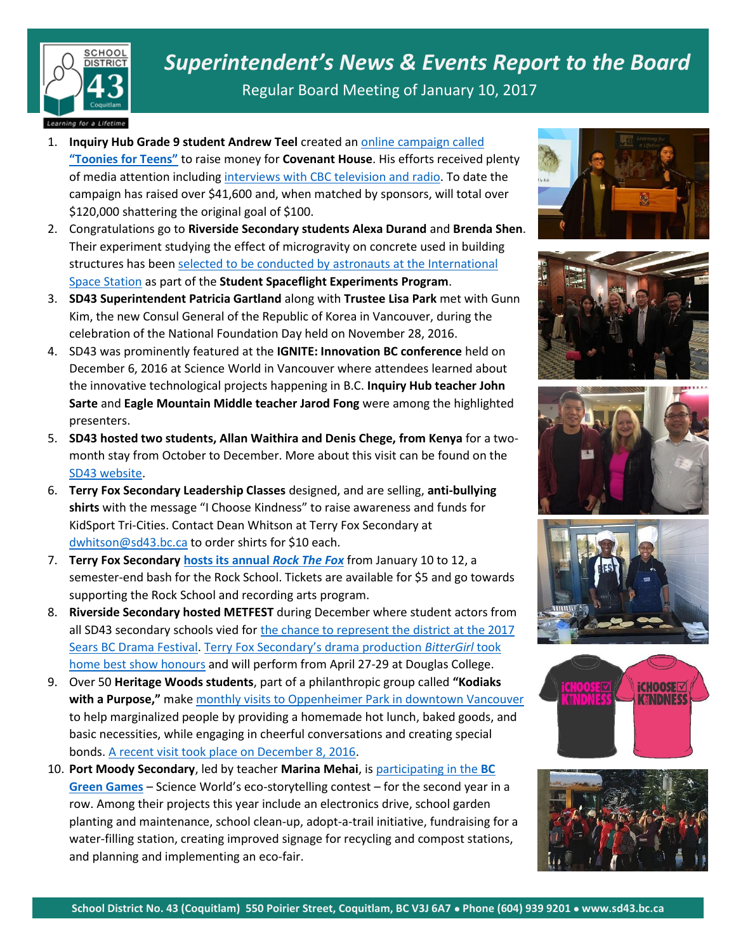

*Superintendent's News & Events Report to the Board*

Regular Board Meeting of January 10, 2017

## Learning for a Lifetime

- 1. **Inquiry Hub Grade 9 student Andrew Teel** created a[n online campaign called](http://globalnews.ca/news/3132858/former-foster-child-gives-back-after-finding-adoptive-family/)  **["Toonies for Teens"](http://globalnews.ca/news/3132858/former-foster-child-gives-back-after-finding-adoptive-family/)** to raise money for **Covenant House**. His efforts received plenty of media attention includin[g interviews with CBC television and radio.](http://www.cbc.ca/news/canada/british-columbia/covenant-house-fundraiser-1.3895099) To date the campaign has raised over \$41,600 and, when matched by sponsors, will total over \$120,000 shattering the original goal of \$100.
- 2. Congratulations go to **Riverside Secondary students Alexa Durand** and **Brenda Shen**. Their experiment studying the effect of microgravity on concrete used in building structures has been selected to be conducted by astronauts at the International [Space Station](http://www.sd43.bc.ca/Pages/newsitem.aspx?ItemID=372&ListID=ed550773-e9ff-4e20-9964-4e1b213f518c&TemplateID=Announcement_Item) as part of the **Student Spaceflight Experiments Program**.
- 3. **SD43 Superintendent Patricia Gartland** along with **Trustee Lisa Park** met with Gunn Kim, the new Consul General of the Republic of Korea in Vancouver, during the celebration of the National Foundation Day held on November 28, 2016.
- 4. SD43 was prominently featured at the **IGNITE: Innovation BC conference** held on December 6, 2016 at Science World in Vancouver where attendees learned about the innovative technological projects happening in B.C. **Inquiry Hub teacher John Sarte** and **Eagle Mountain Middle teacher Jarod Fong** were among the highlighted presenters.
- 5. **SD43 hosted two students, Allan Waithira and Denis Chege, from Kenya** for a twomonth stay from October to December. More about this visit can be found on the [SD43 website.](http://www.sd43.bc.ca/Pages/newsitem.aspx?ItemID=103&ListID=c4134e88-bc0d-484f-9d4d-93c69db7f94f&TemplateID=Announcement_Item)
- 6. **Terry Fox Secondary Leadership Classes** designed, and are selling, **anti-bullying shirts** with the message "I Choose Kindness" to raise awareness and funds for KidSport Tri-Cities. Contact Dean Whitson at Terry Fox Secondary at [dwhitson@sd43.bc.ca](mailto:dwhitson@sd43.bc.ca) to order shirts for \$10 each.
- 7. **Terry Fox Secondar[y hosts its annual](http://www.tricitynews.com/entertainment/fox-students-rock-in-2017-at-port-coquitlam-theatre-1.5579110)** *Rock The Fox* from January 10 to 12, a semester-end bash for the Rock School. Tickets are available for \$5 and go towards supporting the Rock School and recording arts program.
- 8. **Riverside Secondary hosted METFEST** during December where student actors from all SD43 secondary schools vied fo[r the chance to represent the district at the 2017](http://www.tricitynews.com/entertainment/arts-notes-tri-city-teen-actors-in-metfest-this-week-1.3405763) [Sears BC Drama Festival.](http://www.tricitynews.com/entertainment/arts-notes-tri-city-teen-actors-in-metfest-this-week-1.3405763) [Terry Fox Secondary's drama production](http://www.tricitynews.com/entertainment/terry-fox-to-represent-sd43-at-provincial-drama-fest-1.4163068) *BitterGirl* took [home best show honours](http://www.tricitynews.com/entertainment/terry-fox-to-represent-sd43-at-provincial-drama-fest-1.4163068) and will perform from April 27-29 at Douglas College.
- 9. Over 50 **Heritage Woods students**, part of a philanthropic group called **"Kodiaks**  with a Purpose," make [monthly visits to Oppenheimer Park in downtown Vancouver](http://www.tricitynews.com/community/sd43-students-reach-out-to-others-1.5288153) to help marginalized people by providing a homemade hot lunch, baked goods, and basic necessities, while engaging in cheerful conversations and creating special bonds. [A recent visit took place on December 8, 2016.](http://www.cbc.ca/news/canada/british-columbia/heritage-woods-secondary-1.3888654)
- 10. **Port Moody Secondary**, led by teacher **Marina Mehai**, is [participating in the](https://www.scienceworld.ca/blog/bc-green-games-teacher-spotlight-marina-mehai) **BC [Green Games](https://www.scienceworld.ca/blog/bc-green-games-teacher-spotlight-marina-mehai)** – Science World's eco-storytelling contest – for the second year in a row. Among their projects this year include an electronics drive, school garden planting and maintenance, school clean-up, adopt-a-trail initiative, fundraising for a water-filling station, creating improved signage for recycling and compost stations, and planning and implementing an eco-fair.